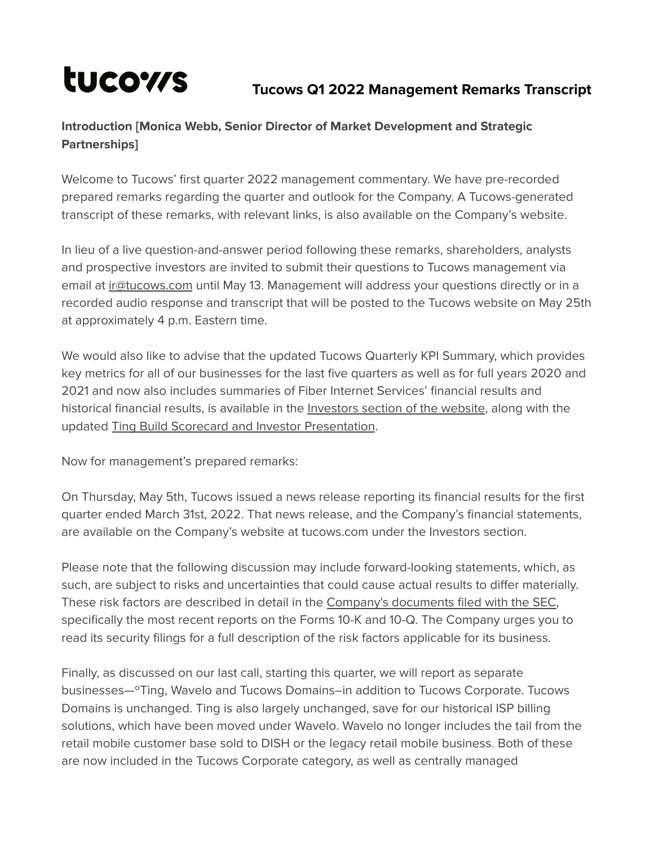# tucows

## **Tucows Q1 2022 Management Remarks Transcript**

## **Introduction [Monica Webb, Senior Director of Market Development and Strategic Partnerships]**

Welcome to Tucows' first quarter 2022 management commentary. We have pre-recorded prepared remarks regarding the quarter and outlook for the Company. A Tucows-generated transcript of these remarks, with relevant links, is also available on the Company's website.

In lieu of a live question-and-answer period following these remarks, shareholders, analysts and prospective investors are invited to submit their questions to Tucows management via email at [ir@tucows.com](mailto:ir@tucows.com) until May 13. Management will address your questions directly or in a recorded audio response and transcript that will be posted to the Tucows website on May 25th at approximately 4 p.m. Eastern time.

We would also like to advise that the updated Tucows Quarterly KPI Summary, which provides key metrics for all of our businesses for the last five quarters as well as for full years 2020 and 2021 and now also includes summaries of Fiber Internet Services' financial results and historical financial results, is available in the [Investors](http://www.tucows.com/investors/) section of the website, along with the updated Ting Build Scorecard and Investor [Presentation](https://tucows.com/investors/investor-videos/).

Now for management's prepared remarks:

On Thursday, May 5th, Tucows issued a news release reporting its financial results for the first quarter ended March 31st, 2022. That news release, and the Company's financial statements, are available on the Company's website at tucows.com under the Investors section.

Please note that the following discussion may include forward-looking statements, which, as such, are subject to risks and uncertainties that could cause actual results to differ materially. These risk factors are described in detail in the Company's [documents](https://www.sec.gov/cgi-bin/browse-edgar?CIK=tcx&Find=Search&owner=exclude&action=getcompany) filed with the SEC, specifically the most recent reports on the Forms 10-K and 10-Q. The Company urges you to read its security filings for a full description of the risk factors applicable for its business.

Finally, as discussed on our last call, starting this quarter, we will report as separate businesses—ºTing, Wavelo and Tucows Domains–in addition to Tucows Corporate. Tucows Domains is unchanged. Ting is also largely unchanged, save for our historical ISP billing solutions, which have been moved under Wavelo. Wavelo no longer includes the tail from the retail mobile customer base sold to DISH or the legacy retail mobile business. Both of these are now included in the Tucows Corporate category, as well as centrally managed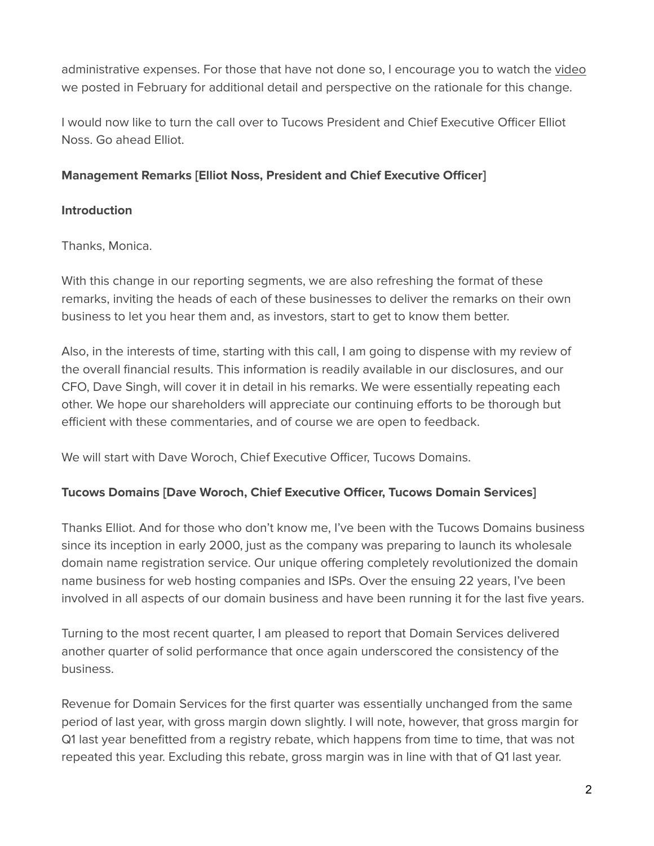administrative expenses. For those that have not done so, I encourage you to watch the [video](https://vimeo.com/675592141/6416c98c10) we posted in February for additional detail and perspective on the rationale for this change.

I would now like to turn the call over to Tucows President and Chief Executive Officer Elliot Noss. Go ahead Elliot.

#### **Management Remarks [Elliot Noss, President and Chief Executive Officer]**

#### **Introduction**

Thanks, Monica.

With this change in our reporting segments, we are also refreshing the format of these remarks, inviting the heads of each of these businesses to deliver the remarks on their own business to let you hear them and, as investors, start to get to know them better.

Also, in the interests of time, starting with this call, I am going to dispense with my review of the overall financial results. This information is readily available in our disclosures, and our CFO, Dave Singh, will cover it in detail in his remarks. We were essentially repeating each other. We hope our shareholders will appreciate our continuing efforts to be thorough but efficient with these commentaries, and of course we are open to feedback.

We will start with Dave Woroch, Chief Executive Officer, Tucows Domains.

#### **Tucows Domains [Dave Woroch, Chief Executive Officer, Tucows Domain Services]**

Thanks Elliot. And for those who don't know me, I've been with the Tucows Domains business since its inception in early 2000, just as the company was preparing to launch its wholesale domain name registration service. Our unique offering completely revolutionized the domain name business for web hosting companies and ISPs. Over the ensuing 22 years, I've been involved in all aspects of our domain business and have been running it for the last five years.

Turning to the most recent quarter, I am pleased to report that Domain Services delivered another quarter of solid performance that once again underscored the consistency of the business.

Revenue for Domain Services for the first quarter was essentially unchanged from the same period of last year, with gross margin down slightly. I will note, however, that gross margin for Q1 last year benefitted from a registry rebate, which happens from time to time, that was not repeated this year. Excluding this rebate, gross margin was in line with that of Q1 last year.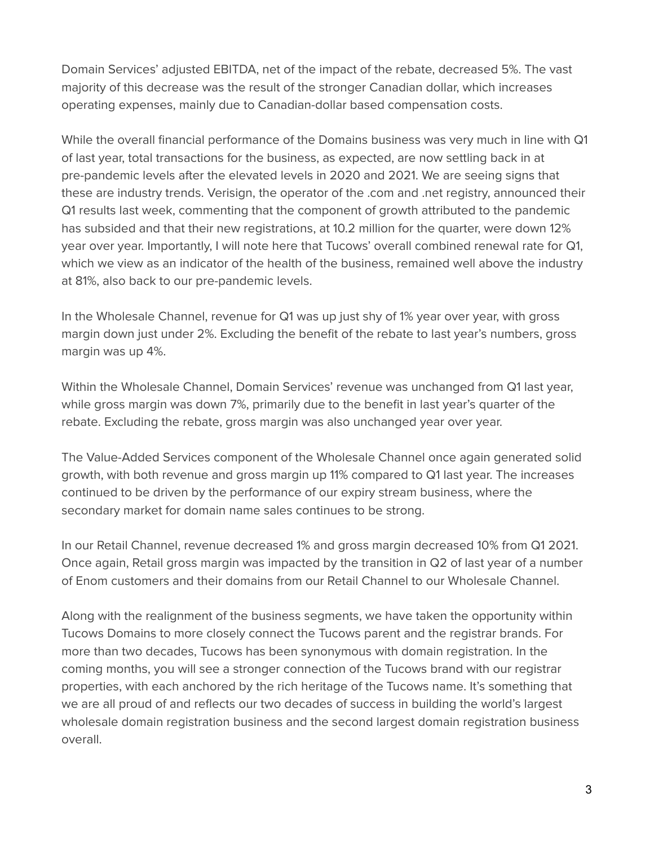Domain Services' adjusted EBITDA, net of the impact of the rebate, decreased 5%. The vast majority of this decrease was the result of the stronger Canadian dollar, which increases operating expenses, mainly due to Canadian-dollar based compensation costs.

While the overall financial performance of the Domains business was very much in line with Q1 of last year, total transactions for the business, as expected, are now settling back in at pre-pandemic levels after the elevated levels in 2020 and 2021. We are seeing signs that these are industry trends. Verisign, the operator of the .com and .net registry, announced their Q1 results last week, commenting that the component of growth attributed to the pandemic has subsided and that their new registrations, at 10.2 million for the quarter, were down 12% year over year. Importantly, I will note here that Tucows' overall combined renewal rate for Q1, which we view as an indicator of the health of the business, remained well above the industry at 81%, also back to our pre-pandemic levels.

In the Wholesale Channel, revenue for Q1 was up just shy of 1% year over year, with gross margin down just under 2%. Excluding the benefit of the rebate to last year's numbers, gross margin was up 4%.

Within the Wholesale Channel, Domain Services' revenue was unchanged from Q1 last year, while gross margin was down 7%, primarily due to the benefit in last year's quarter of the rebate. Excluding the rebate, gross margin was also unchanged year over year.

The Value-Added Services component of the Wholesale Channel once again generated solid growth, with both revenue and gross margin up 11% compared to Q1 last year. The increases continued to be driven by the performance of our expiry stream business, where the secondary market for domain name sales continues to be strong.

In our Retail Channel, revenue decreased 1% and gross margin decreased 10% from Q1 2021. Once again, Retail gross margin was impacted by the transition in Q2 of last year of a number of Enom customers and their domains from our Retail Channel to our Wholesale Channel.

Along with the realignment of the business segments, we have taken the opportunity within Tucows Domains to more closely connect the Tucows parent and the registrar brands. For more than two decades, Tucows has been synonymous with domain registration. In the coming months, you will see a stronger connection of the Tucows brand with our registrar properties, with each anchored by the rich heritage of the Tucows name. It's something that we are all proud of and reflects our two decades of success in building the world's largest wholesale domain registration business and the second largest domain registration business overall.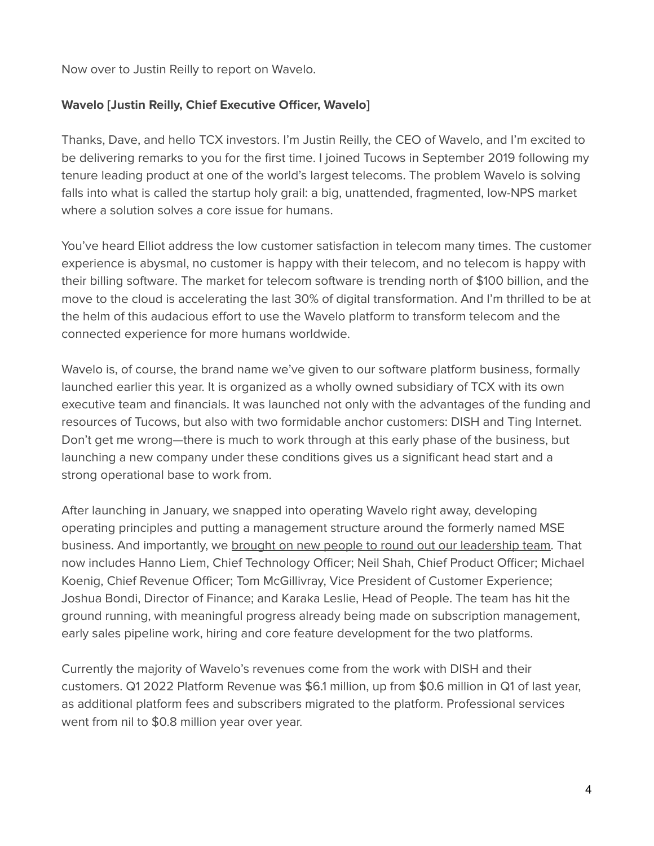Now over to Justin Reilly to report on Wavelo.

#### **Wavelo [Justin Reilly, Chief Executive Officer, Wavelo]**

Thanks, Dave, and hello TCX investors. I'm Justin Reilly, the CEO of Wavelo, and I'm excited to be delivering remarks to you for the first time. I joined Tucows in September 2019 following my tenure leading product at one of the world's largest telecoms. The problem Wavelo is solving falls into what is called the startup holy grail: a big, unattended, fragmented, low-NPS market where a solution solves a core issue for humans.

You've heard Elliot address the low customer satisfaction in telecom many times. The customer experience is abysmal, no customer is happy with their telecom, and no telecom is happy with their billing software. The market for telecom software is trending north of \$100 billion, and the move to the cloud is accelerating the last 30% of digital transformation. And I'm thrilled to be at the helm of this audacious effort to use the Wavelo platform to transform telecom and the connected experience for more humans worldwide.

Wavelo is, of course, the brand name we've given to our software platform business, formally launched earlier this year. It is organized as a wholly owned subsidiary of TCX with its own executive team and financials. It was launched not only with the advantages of the funding and resources of Tucows, but also with two formidable anchor customers: DISH and Ting Internet. Don't get me wrong—there is much to work through at this early phase of the business, but launching a new company under these conditions gives us a significant head start and a strong operational base to work from.

After launching in January, we snapped into operating Wavelo right away, developing operating principles and putting a management structure around the formerly named MSE business. And importantly, we brought on new people to round out our [leadership](https://www.prnewswire.com/news-releases/wavelo-expands-leadership-team-with-two-new-executive-hires-301525331.html) team. That now includes Hanno Liem, Chief Technology Officer; Neil Shah, Chief Product Officer; Michael Koenig, Chief Revenue Officer; Tom McGillivray, Vice President of Customer Experience; Joshua Bondi, Director of Finance; and Karaka Leslie, Head of People. The team has hit the ground running, with meaningful progress already being made on subscription management, early sales pipeline work, hiring and core feature development for the two platforms.

Currently the majority of Wavelo's revenues come from the work with DISH and their customers. Q1 2022 Platform Revenue was \$6.1 million, up from \$0.6 million in Q1 of last year, as additional platform fees and subscribers migrated to the platform. Professional services went from nil to \$0.8 million year over year.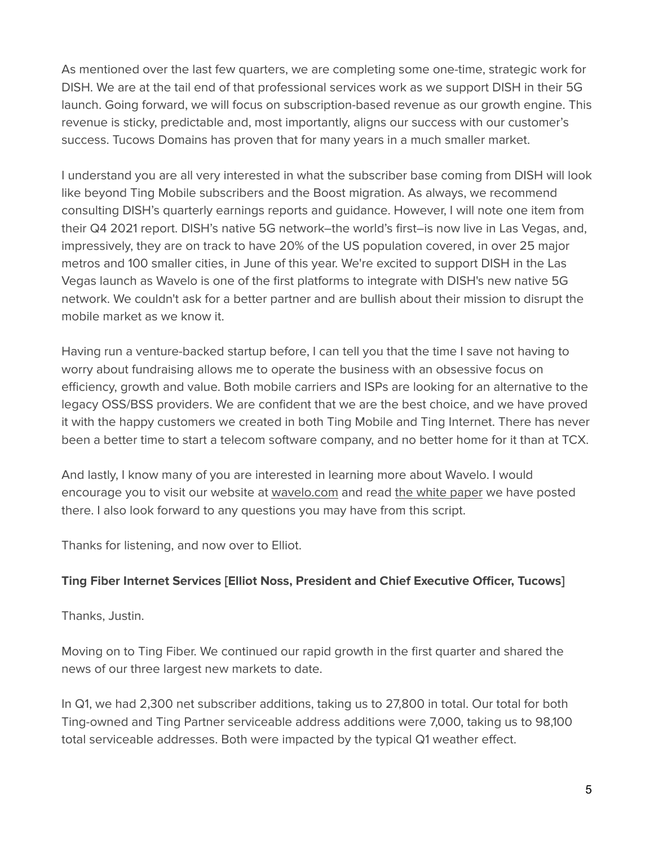As mentioned over the last few quarters, we are completing some one-time, strategic work for DISH. We are at the tail end of that professional services work as we support DISH in their 5G launch. Going forward, we will focus on subscription-based revenue as our growth engine. This revenue is sticky, predictable and, most importantly, aligns our success with our customer's success. Tucows Domains has proven that for many years in a much smaller market.

I understand you are all very interested in what the subscriber base coming from DISH will look like beyond Ting Mobile subscribers and the Boost migration. As always, we recommend consulting DISH's quarterly earnings reports and guidance. However, I will note one item from their Q4 2021 report. DISH's native 5G network–the world's first–is now live in Las Vegas, and, impressively, they are on track to have 20% of the US population covered, in over 25 major metros and 100 smaller cities, in June of this year. We're excited to support DISH in the Las Vegas launch as Wavelo is one of the first platforms to integrate with DISH's new native 5G network. We couldn't ask for a better partner and are bullish about their mission to disrupt the mobile market as we know it.

Having run a venture-backed startup before, I can tell you that the time I save not having to worry about fundraising allows me to operate the business with an obsessive focus on efficiency, growth and value. Both mobile carriers and ISPs are looking for an alternative to the legacy OSS/BSS providers. We are confident that we are the best choice, and we have proved it with the happy customers we created in both Ting Mobile and Ting Internet. There has never been a better time to start a telecom software company, and no better home for it than at TCX.

And lastly, I know many of you are interested in learning more about Wavelo. I would encourage you to visit our website at [wavelo.com](https://www.wavelo.com/) and read the white [paper](https://assets.website-files.com/61dd97b006465bc6f9da077b/6222871e5d6af6e0daab26b2_New%20networks%20and%20new%20services%20demand%20new%20telecoms%20software.pdf) we have posted there. I also look forward to any questions you may have from this script.

Thanks for listening, and now over to Elliot.

#### **Ting Fiber Internet Services [Elliot Noss, President and Chief Executive Officer, Tucows]**

Thanks, Justin.

Moving on to Ting Fiber. We continued our rapid growth in the first quarter and shared the news of our three largest new markets to date.

In Q1, we had 2,300 net subscriber additions, taking us to 27,800 in total. Our total for both Ting-owned and Ting Partner serviceable address additions were 7,000, taking us to 98,100 total serviceable addresses. Both were impacted by the typical Q1 weather effect.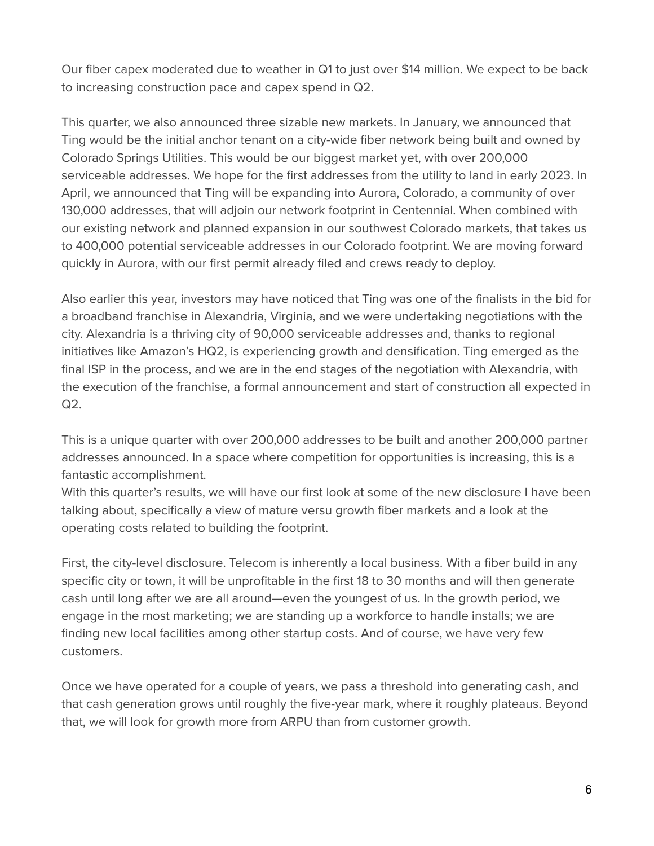Our fiber capex moderated due to weather in Q1 to just over \$14 million. We expect to be back to increasing construction pace and capex spend in Q2.

This quarter, we also announced three sizable new markets. In January, we announced that Ting would be the initial anchor tenant on a city-wide fiber network being built and owned by Colorado Springs Utilities. This would be our biggest market yet, with over 200,000 serviceable addresses. We hope for the first addresses from the utility to land in early 2023. In April, we announced that Ting will be expanding into Aurora, Colorado, a community of over 130,000 addresses, that will adjoin our network footprint in Centennial. When combined with our existing network and planned expansion in our southwest Colorado markets, that takes us to 400,000 potential serviceable addresses in our Colorado footprint. We are moving forward quickly in Aurora, with our first permit already filed and crews ready to deploy.

Also earlier this year, investors may have noticed that Ting was one of the finalists in the bid for a broadband franchise in Alexandria, Virginia, and we were undertaking negotiations with the city. Alexandria is a thriving city of 90,000 serviceable addresses and, thanks to regional initiatives like Amazon's HQ2, is experiencing growth and densification. Ting emerged as the final ISP in the process, and we are in the end stages of the negotiation with Alexandria, with the execution of the franchise, a formal announcement and start of construction all expected in Q2.

This is a unique quarter with over 200,000 addresses to be built and another 200,000 partner addresses announced. In a space where competition for opportunities is increasing, this is a fantastic accomplishment.

With this quarter's results, we will have our first look at some of the new disclosure I have been talking about, specifically a view of mature versu growth fiber markets and a look at the operating costs related to building the footprint.

First, the city-level disclosure. Telecom is inherently a local business. With a fiber build in any specific city or town, it will be unprofitable in the first 18 to 30 months and will then generate cash until long after we are all around—even the youngest of us. In the growth period, we engage in the most marketing; we are standing up a workforce to handle installs; we are finding new local facilities among other startup costs. And of course, we have very few customers.

Once we have operated for a couple of years, we pass a threshold into generating cash, and that cash generation grows until roughly the five-year mark, where it roughly plateaus. Beyond that, we will look for growth more from ARPU than from customer growth.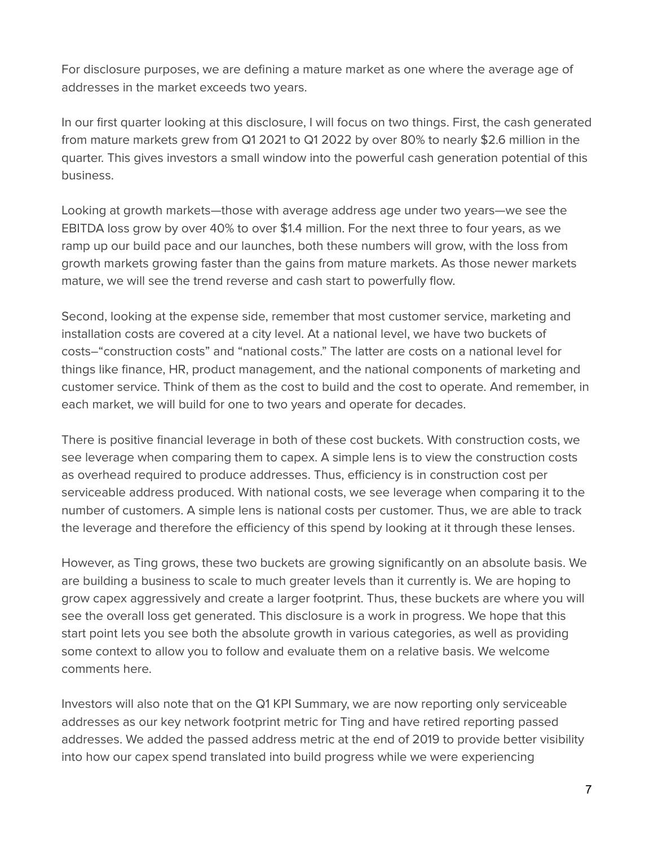For disclosure purposes, we are defining a mature market as one where the average age of addresses in the market exceeds two years.

In our first quarter looking at this disclosure, I will focus on two things. First, the cash generated from mature markets grew from Q1 2021 to Q1 2022 by over 80% to nearly \$2.6 million in the quarter. This gives investors a small window into the powerful cash generation potential of this business.

Looking at growth markets—those with average address age under two years—we see the EBITDA loss grow by over 40% to over \$1.4 million. For the next three to four years, as we ramp up our build pace and our launches, both these numbers will grow, with the loss from growth markets growing faster than the gains from mature markets. As those newer markets mature, we will see the trend reverse and cash start to powerfully flow.

Second, looking at the expense side, remember that most customer service, marketing and installation costs are covered at a city level. At a national level, we have two buckets of costs–"construction costs" and "national costs." The latter are costs on a national level for things like finance, HR, product management, and the national components of marketing and customer service. Think of them as the cost to build and the cost to operate. And remember, in each market, we will build for one to two years and operate for decades.

There is positive financial leverage in both of these cost buckets. With construction costs, we see leverage when comparing them to capex. A simple lens is to view the construction costs as overhead required to produce addresses. Thus, efficiency is in construction cost per serviceable address produced. With national costs, we see leverage when comparing it to the number of customers. A simple lens is national costs per customer. Thus, we are able to track the leverage and therefore the efficiency of this spend by looking at it through these lenses.

However, as Ting grows, these two buckets are growing significantly on an absolute basis. We are building a business to scale to much greater levels than it currently is. We are hoping to grow capex aggressively and create a larger footprint. Thus, these buckets are where you will see the overall loss get generated. This disclosure is a work in progress. We hope that this start point lets you see both the absolute growth in various categories, as well as providing some context to allow you to follow and evaluate them on a relative basis. We welcome comments here.

Investors will also note that on the Q1 KPI Summary, we are now reporting only serviceable addresses as our key network footprint metric for Ting and have retired reporting passed addresses. We added the passed address metric at the end of 2019 to provide better visibility into how our capex spend translated into build progress while we were experiencing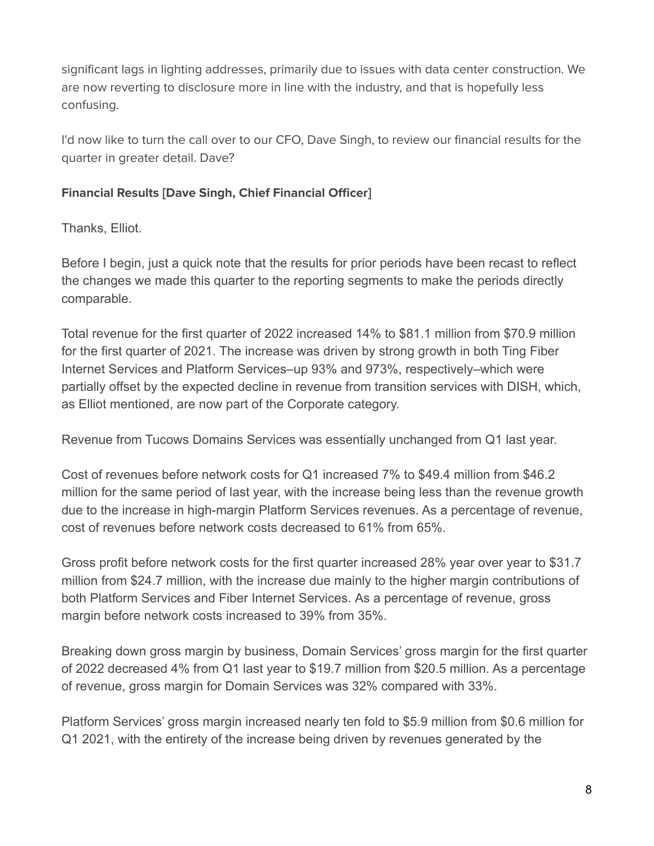significant lags in lighting addresses, primarily due to issues with data center construction. We are now reverting to disclosure more in line with the industry, and that is hopefully less confusing.

I'd now like to turn the call over to our CFO, Dave Singh, to review our financial results for the quarter in greater detail. Dave?

#### **Financial Results [Dave Singh, Chief Financial Officer]**

Thanks, Elliot.

Before I begin, just a quick note that the results for prior periods have been recast to reflect the changes we made this quarter to the reporting segments to make the periods directly comparable.

Total revenue for the first quarter of 2022 increased 14% to \$81.1 million from \$70.9 million for the first quarter of 2021. The increase was driven by strong growth in both Ting Fiber Internet Services and Platform Services–up 93% and 973%, respectively–which were partially offset by the expected decline in revenue from transition services with DISH, which, as Elliot mentioned, are now part of the Corporate category.

Revenue from Tucows Domains Services was essentially unchanged from Q1 last year.

Cost of revenues before network costs for Q1 increased 7% to \$49.4 million from \$46.2 million for the same period of last year, with the increase being less than the revenue growth due to the increase in high-margin Platform Services revenues. As a percentage of revenue, cost of revenues before network costs decreased to 61% from 65%.

Gross profit before network costs for the first quarter increased 28% year over year to \$31.7 million from \$24.7 million, with the increase due mainly to the higher margin contributions of both Platform Services and Fiber Internet Services. As a percentage of revenue, gross margin before network costs increased to 39% from 35%.

Breaking down gross margin by business, Domain Services' gross margin for the first quarter of 2022 decreased 4% from Q1 last year to \$19.7 million from \$20.5 million. As a percentage of revenue, gross margin for Domain Services was 32% compared with 33%.

Platform Services' gross margin increased nearly ten fold to \$5.9 million from \$0.6 million for Q1 2021, with the entirety of the increase being driven by revenues generated by the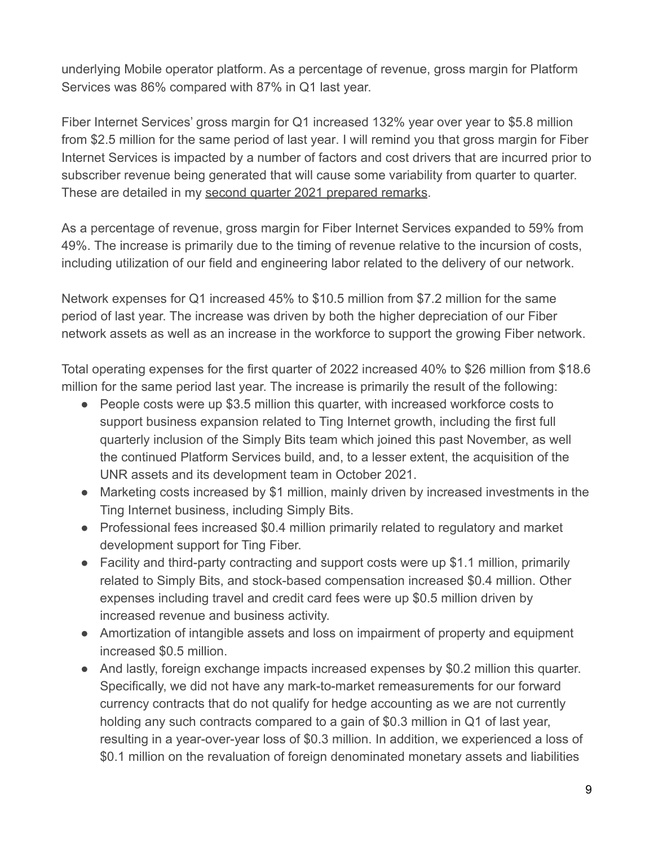underlying Mobile operator platform. As a percentage of revenue, gross margin for Platform Services was 86% compared with 87% in Q1 last year.

Fiber Internet Services' gross margin for Q1 increased 132% year over year to \$5.8 million from \$2.5 million for the same period of last year. I will remind you that gross margin for Fiber Internet Services is impacted by a number of factors and cost drivers that are incurred prior to subscriber revenue being generated that will cause some variability from quarter to quarter. These are detailed in my [second quarter 2021 prepared](https://tucows.com/wp-content/uploads/2021/08/2021-Q2-TCX-results-management-remarks-transcript.pdf) remarks.

As a percentage of revenue, gross margin for Fiber Internet Services expanded to 59% from 49%. The increase is primarily due to the timing of revenue relative to the incursion of costs, including utilization of our field and engineering labor related to the delivery of our network.

Network expenses for Q1 increased 45% to \$10.5 million from \$7.2 million for the same period of last year. The increase was driven by both the higher depreciation of our Fiber network assets as well as an increase in the workforce to support the growing Fiber network.

Total operating expenses for the first quarter of 2022 increased 40% to \$26 million from \$18.6 million for the same period last year. The increase is primarily the result of the following:

- People costs were up \$3.5 million this quarter, with increased workforce costs to support business expansion related to Ting Internet growth, including the first full quarterly inclusion of the Simply Bits team which joined this past November, as well the continued Platform Services build, and, to a lesser extent, the acquisition of the UNR assets and its development team in October 2021.
- Marketing costs increased by \$1 million, mainly driven by increased investments in the Ting Internet business, including Simply Bits.
- Professional fees increased \$0.4 million primarily related to regulatory and market development support for Ting Fiber.
- Facility and third-party contracting and support costs were up \$1.1 million, primarily related to Simply Bits, and stock-based compensation increased \$0.4 million. Other expenses including travel and credit card fees were up \$0.5 million driven by increased revenue and business activity.
- Amortization of intangible assets and loss on impairment of property and equipment increased \$0.5 million.
- And lastly, foreign exchange impacts increased expenses by \$0.2 million this quarter. Specifically, we did not have any mark-to-market remeasurements for our forward currency contracts that do not qualify for hedge accounting as we are not currently holding any such contracts compared to a gain of \$0.3 million in Q1 of last year, resulting in a year-over-year loss of \$0.3 million. In addition, we experienced a loss of \$0.1 million on the revaluation of foreign denominated monetary assets and liabilities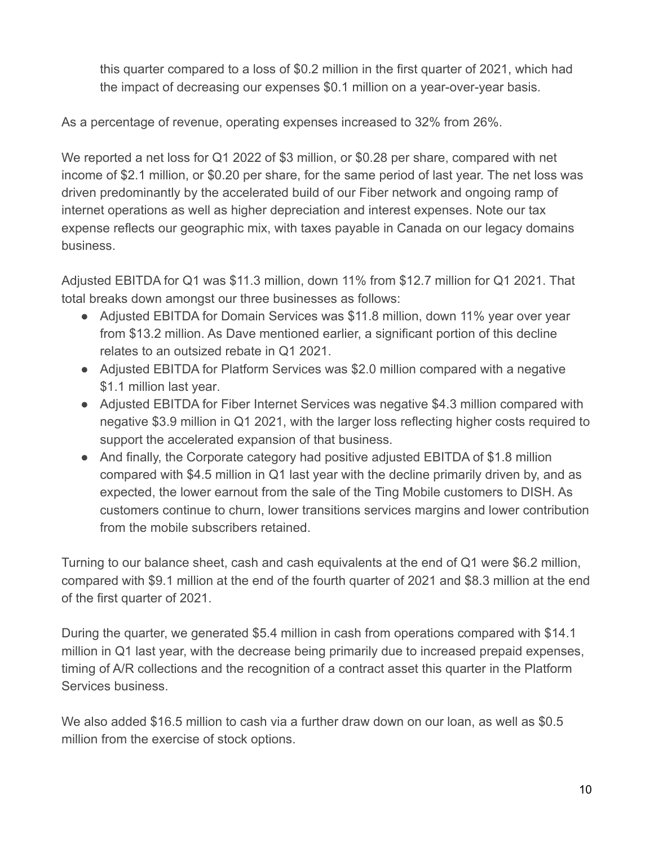this quarter compared to a loss of \$0.2 million in the first quarter of 2021, which had the impact of decreasing our expenses \$0.1 million on a year-over-year basis.

As a percentage of revenue, operating expenses increased to 32% from 26%.

We reported a net loss for Q1 2022 of \$3 million, or \$0.28 per share, compared with net income of \$2.1 million, or \$0.20 per share, for the same period of last year. The net loss was driven predominantly by the accelerated build of our Fiber network and ongoing ramp of internet operations as well as higher depreciation and interest expenses. Note our tax expense reflects our geographic mix, with taxes payable in Canada on our legacy domains business.

Adjusted EBITDA for Q1 was \$11.3 million, down 11% from \$12.7 million for Q1 2021. That total breaks down amongst our three businesses as follows:

- Adjusted EBITDA for Domain Services was \$11.8 million, down 11% year over year from \$13.2 million. As Dave mentioned earlier, a significant portion of this decline relates to an outsized rebate in Q1 2021.
- Adjusted EBITDA for Platform Services was \$2.0 million compared with a negative \$1.1 million last year.
- Adjusted EBITDA for Fiber Internet Services was negative \$4.3 million compared with negative \$3.9 million in Q1 2021, with the larger loss reflecting higher costs required to support the accelerated expansion of that business.
- And finally, the Corporate category had positive adjusted EBITDA of \$1.8 million compared with \$4.5 million in Q1 last year with the decline primarily driven by, and as expected, the lower earnout from the sale of the Ting Mobile customers to DISH. As customers continue to churn, lower transitions services margins and lower contribution from the mobile subscribers retained.

Turning to our balance sheet, cash and cash equivalents at the end of Q1 were \$6.2 million, compared with \$9.1 million at the end of the fourth quarter of 2021 and \$8.3 million at the end of the first quarter of 2021.

During the quarter, we generated \$5.4 million in cash from operations compared with \$14.1 million in Q1 last year, with the decrease being primarily due to increased prepaid expenses, timing of A/R collections and the recognition of a contract asset this quarter in the Platform Services business.

We also added \$16.5 million to cash via a further draw down on our loan, as well as \$0.5 million from the exercise of stock options.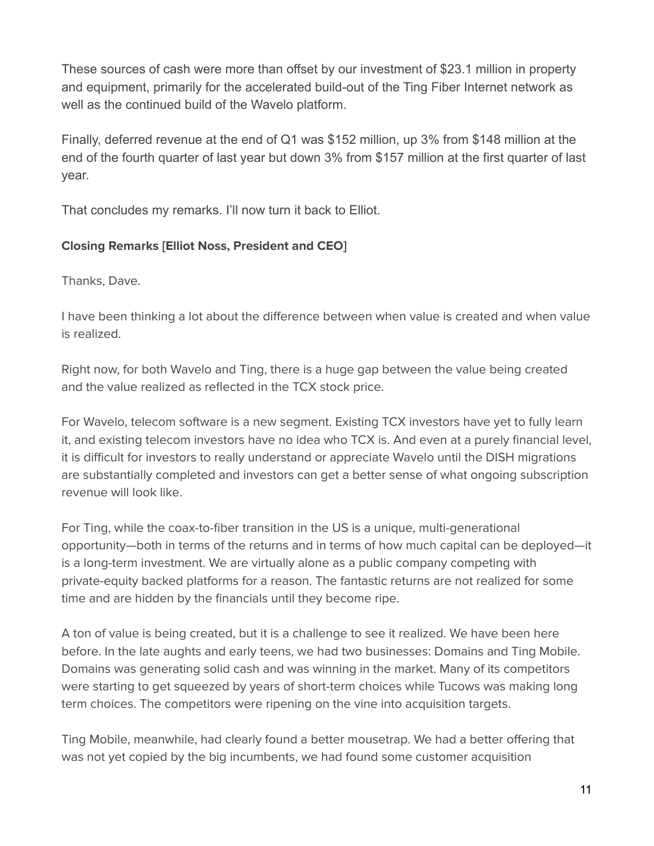These sources of cash were more than offset by our investment of \$23.1 million in property and equipment, primarily for the accelerated build-out of the Ting Fiber Internet network as well as the continued build of the Wavelo platform.

Finally, deferred revenue at the end of Q1 was \$152 million, up 3% from \$148 million at the end of the fourth quarter of last year but down 3% from \$157 million at the first quarter of last year.

That concludes my remarks. I'll now turn it back to Elliot.

## **Closing Remarks [Elliot Noss, President and CEO]**

Thanks, Dave.

I have been thinking a lot about the difference between when value is created and when value is realized.

Right now, for both Wavelo and Ting, there is a huge gap between the value being created and the value realized as reflected in the TCX stock price.

For Wavelo, telecom software is a new segment. Existing TCX investors have yet to fully learn it, and existing telecom investors have no idea who TCX is. And even at a purely financial level, it is difficult for investors to really understand or appreciate Wavelo until the DISH migrations are substantially completed and investors can get a better sense of what ongoing subscription revenue will look like.

For Ting, while the coax-to-fiber transition in the US is a unique, multi-generational opportunity—both in terms of the returns and in terms of how much capital can be deployed—it is a long-term investment. We are virtually alone as a public company competing with private-equity backed platforms for a reason. The fantastic returns are not realized for some time and are hidden by the financials until they become ripe.

A ton of value is being created, but it is a challenge to see it realized. We have been here before. In the late aughts and early teens, we had two businesses: Domains and Ting Mobile. Domains was generating solid cash and was winning in the market. Many of its competitors were starting to get squeezed by years of short-term choices while Tucows was making long term choices. The competitors were ripening on the vine into acquisition targets.

Ting Mobile, meanwhile, had clearly found a better mousetrap. We had a better offering that was not yet copied by the big incumbents, we had found some customer acquisition